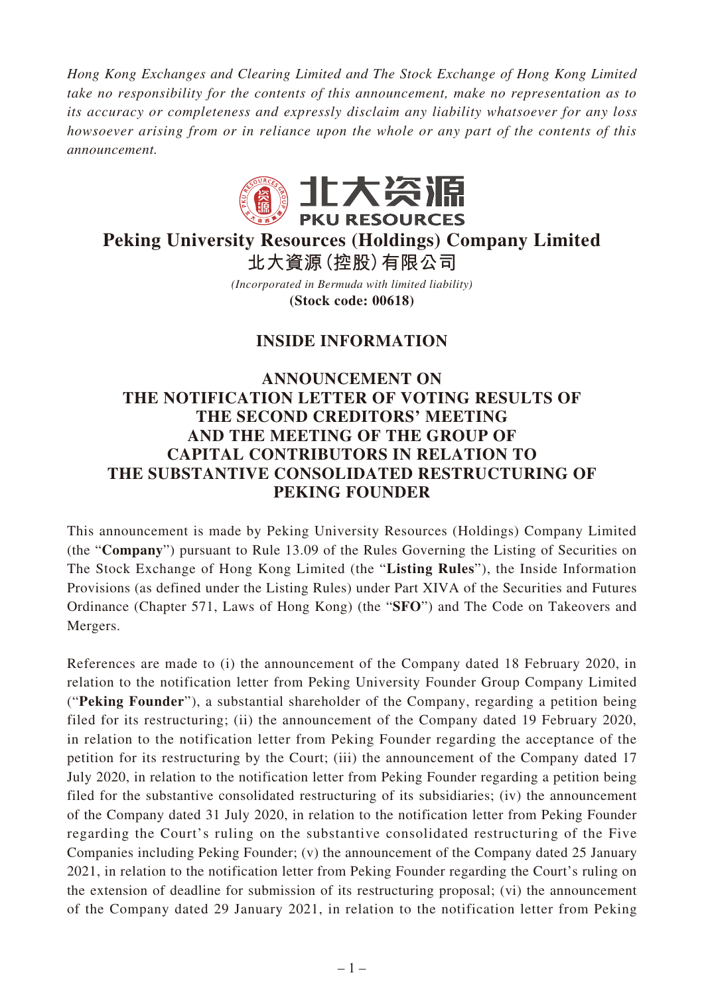*Hong Kong Exchanges and Clearing Limited and The Stock Exchange of Hong Kong Limited take no responsibility for the contents of this announcement, make no representation as to its accuracy or completeness and expressly disclaim any liability whatsoever for any loss howsoever arising from or in reliance upon the whole or any part of the contents of this announcement.*



## **Peking University Resources (Holdings) Company Limited 北大資源(控股)有限公司**

*(Incorporated in Bermuda with limited liability)* **(Stock code: 00618)**

## **INSIDE INFORMATION**

## **ANNOUNCEMENT ON THE NOTIFICATION LETTER OF VOTING RESULTS OF THE SECOND CREDITORS' MEETING AND THE MEETING OF THE GROUP OF CAPITAL CONTRIBUTORS IN RELATION TO THE SUBSTANTIVE CONSOLIDATED RESTRUCTURING OF PEKING FOUNDER**

This announcement is made by Peking University Resources (Holdings) Company Limited (the "**Company**") pursuant to Rule 13.09 of the Rules Governing the Listing of Securities on The Stock Exchange of Hong Kong Limited (the "**Listing Rules**"), the Inside Information Provisions (as defined under the Listing Rules) under Part XIVA of the Securities and Futures Ordinance (Chapter 571, Laws of Hong Kong) (the "**SFO**") and The Code on Takeovers and Mergers.

References are made to (i) the announcement of the Company dated 18 February 2020, in relation to the notification letter from Peking University Founder Group Company Limited ("**Peking Founder**"), a substantial shareholder of the Company, regarding a petition being filed for its restructuring; (ii) the announcement of the Company dated 19 February 2020, in relation to the notification letter from Peking Founder regarding the acceptance of the petition for its restructuring by the Court; (iii) the announcement of the Company dated 17 July 2020, in relation to the notification letter from Peking Founder regarding a petition being filed for the substantive consolidated restructuring of its subsidiaries; (iv) the announcement of the Company dated 31 July 2020, in relation to the notification letter from Peking Founder regarding the Court's ruling on the substantive consolidated restructuring of the Five Companies including Peking Founder; (v) the announcement of the Company dated 25 January 2021, in relation to the notification letter from Peking Founder regarding the Court's ruling on the extension of deadline for submission of its restructuring proposal; (vi) the announcement of the Company dated 29 January 2021, in relation to the notification letter from Peking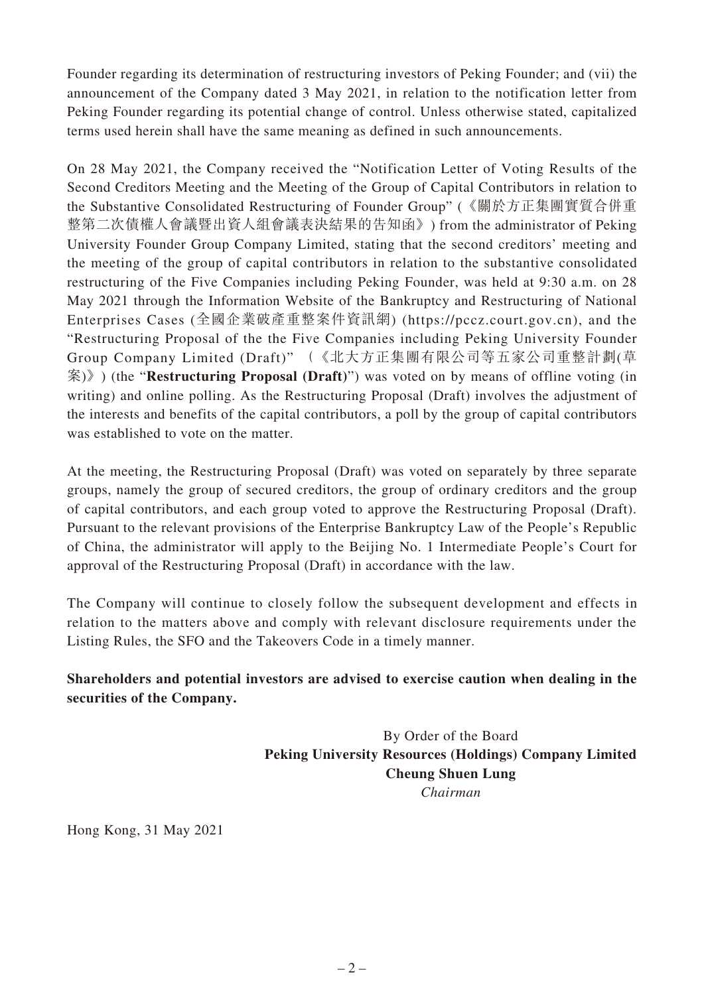Founder regarding its determination of restructuring investors of Peking Founder; and (vii) the announcement of the Company dated 3 May 2021, in relation to the notification letter from Peking Founder regarding its potential change of control. Unless otherwise stated, capitalized terms used herein shall have the same meaning as defined in such announcements.

On 28 May 2021, the Company received the "Notification Letter of Voting Results of the Second Creditors Meeting and the Meeting of the Group of Capital Contributors in relation to the Substantive Consolidated Restructuring of Founder Group" (《關於方正集團實質合併重 整第二次債權人會議暨出資人組會議表決結果的告知函》) from the administrator of Peking University Founder Group Company Limited, stating that the second creditors' meeting and the meeting of the group of capital contributors in relation to the substantive consolidated restructuring of the Five Companies including Peking Founder, was held at 9:30 a.m. on 28 May 2021 through the Information Website of the Bankruptcy and Restructuring of National Enterprises Cases (全國企業破產重整案件資訊網) (https://pccz.court.gov.cn), and the "Restructuring Proposal of the the Five Companies including Peking University Founder Group Company Limited (Draft)" (《北大方正集團有限公司等五家公司重整計劃(草 案)》) (the "**Restructuring Proposal (Draft)**") was voted on by means of offline voting (in writing) and online polling. As the Restructuring Proposal (Draft) involves the adjustment of the interests and benefits of the capital contributors, a poll by the group of capital contributors was established to vote on the matter.

At the meeting, the Restructuring Proposal (Draft) was voted on separately by three separate groups, namely the group of secured creditors, the group of ordinary creditors and the group of capital contributors, and each group voted to approve the Restructuring Proposal (Draft). Pursuant to the relevant provisions of the Enterprise Bankruptcy Law of the People's Republic of China, the administrator will apply to the Beijing No. 1 Intermediate People's Court for approval of the Restructuring Proposal (Draft) in accordance with the law.

The Company will continue to closely follow the subsequent development and effects in relation to the matters above and comply with relevant disclosure requirements under the Listing Rules, the SFO and the Takeovers Code in a timely manner.

## **Shareholders and potential investors are advised to exercise caution when dealing in the securities of the Company.**

By Order of the Board **Peking University Resources (Holdings) Company Limited Cheung Shuen Lung** *Chairman*

Hong Kong, 31 May 2021